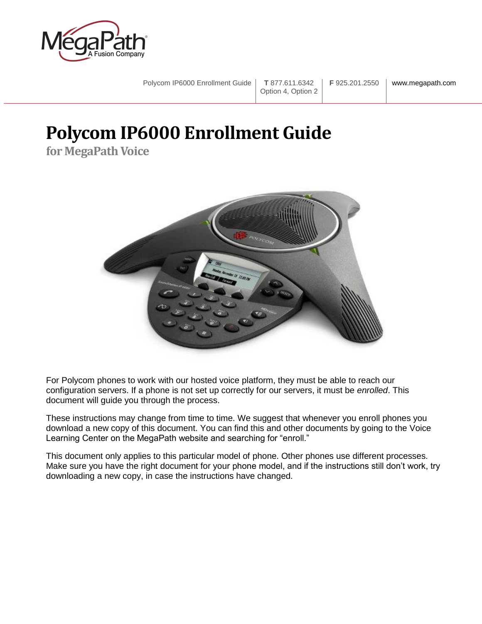

Polycom IP6000 Enrollment Guide **T** 877.611.6342 Option 4, Option 2 **F** 925.201.2550 www.megapath.com

# <span id="page-0-0"></span>**Polycom IP6000 Enrollment Guide**

**for MegaPath Voice**



For Polycom phones to work with our hosted voice platform, they must be able to reach our configuration servers. If a phone is not set up correctly for our servers, it must be *enrolled*. This document will guide you through the process.

These instructions may change from time to time. We suggest that whenever you enroll phones you download a new copy of this document. You can find this and other documents by going to the Voice Learning Center on the MegaPath website and searching for "enroll."

This document only applies to this particular model of phone. Other phones use different processes. Make sure you have the right document for your phone model, and if the instructions still don't work, try downloading a new copy, in case the instructions have changed.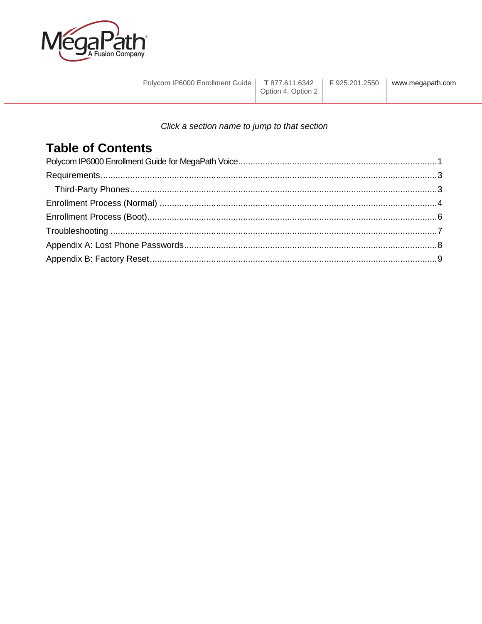

| Polycom IP6000 Enrollment Guide   T 877.611.6342   F 925.201.2550 |                    | www.megapath.com |
|-------------------------------------------------------------------|--------------------|------------------|
|                                                                   | Option 4, Option 2 |                  |

#### Click a section name to jump to that section

# **Table of Contents**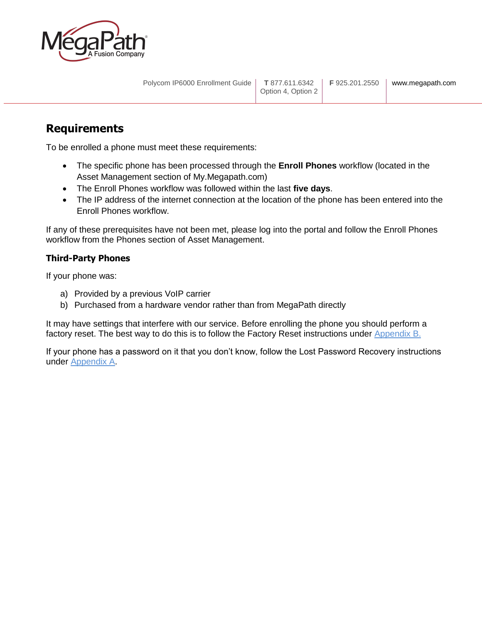

### <span id="page-2-0"></span>**Requirements**

To be enrolled a phone must meet these requirements:

- The specific phone has been processed through the **Enroll Phones** workflow (located in the Asset Management section of My.Megapath.com)
- The Enroll Phones workflow was followed within the last **five days**.
- The IP address of the internet connection at the location of the phone has been entered into the Enroll Phones workflow.

If any of these prerequisites have not been met, please log into the portal and follow the Enroll Phones workflow from the Phones section of Asset Management.

#### <span id="page-2-1"></span>**Third-Party Phones**

If your phone was:

- a) Provided by a previous VoIP carrier
- b) Purchased from a hardware vendor rather than from MegaPath directly

It may have settings that interfere with our service. Before enrolling the phone you should perform a factory reset. The best way to do this is to follow the Factory Reset instructions under [Appendix B.](#page-8-0)

If your phone has a password on it that you don't know, follow the Lost Password Recovery instructions under [Appendix A.](#page-7-0)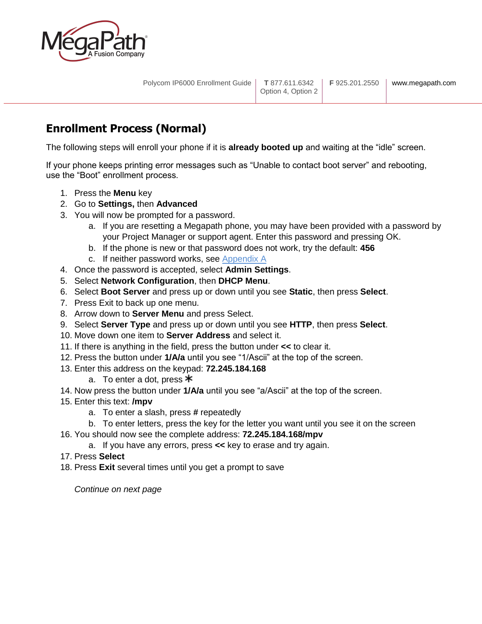

# <span id="page-3-0"></span>**Enrollment Process (Normal)**

The following steps will enroll your phone if it is **already booted up** and waiting at the "idle" screen.

If your phone keeps printing error messages such as "Unable to contact boot server" and rebooting, use the "Boot" enrollment process.

- 1. Press the **Menu** key
- 2. Go to **Settings,** then **Advanced**
- 3. You will now be prompted for a password.
	- a. If you are resetting a Megapath phone, you may have been provided with a password by your Project Manager or support agent. Enter this password and pressing OK.
	- b. If the phone is new or that password does not work, try the default: **456**
	- c. If neither password works, see [Appendix A](#page-7-0)
- 4. Once the password is accepted, select **Admin Settings**.
- 5. Select **Network Configuration**, then **DHCP Menu**.
- 6. Select **Boot Server** and press up or down until you see **Static**, then press **Select**.
- 7. Press Exit to back up one menu.
- 8. Arrow down to **Server Menu** and press Select.
- 9. Select **Server Type** and press up or down until you see **HTTP**, then press **Select**.
- 10. Move down one item to **Server Address** and select it.
- 11. If there is anything in the field, press the button under **<<** to clear it.
- 12. Press the button under **1/A/a** until you see "1/Ascii" at the top of the screen.
- 13. Enter this address on the keypad: **72.245.184.168**
	- a. To enter a dot, press  $*$
- 14. Now press the button under **1/A/a** until you see "a/Ascii" at the top of the screen.
- 15. Enter this text: **/mpv**
	- a. To enter a slash, press **#** repeatedly
	- b. To enter letters, press the key for the letter you want until you see it on the screen
- 16. You should now see the complete address: **72.245.184.168/mpv**
	- a. If you have any errors, press **<<** key to erase and try again.
- 17. Press **Select**
- 18. Press **Exit** several times until you get a prompt to save

*Continue on next page*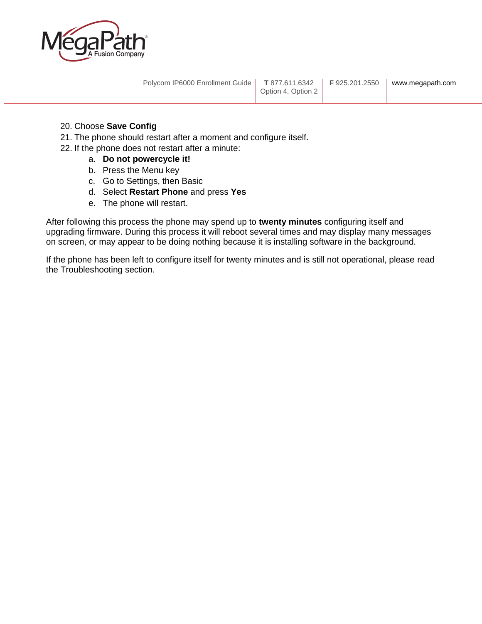

Polycom IP6000 Enrollment Guide **T** 877.611.6342

#### 20. Choose **Save Config**

- 21. The phone should restart after a moment and configure itself.
- 22. If the phone does not restart after a minute:
	- a. **Do not powercycle it!**
	- b. Press the Menu key
	- c. Go to Settings, then Basic
	- d. Select **Restart Phone** and press **Yes**
	- e. The phone will restart.

After following this process the phone may spend up to **twenty minutes** configuring itself and upgrading firmware. During this process it will reboot several times and may display many messages on screen, or may appear to be doing nothing because it is installing software in the background.

If the phone has been left to configure itself for twenty minutes and is still not operational, please read the Troubleshooting section.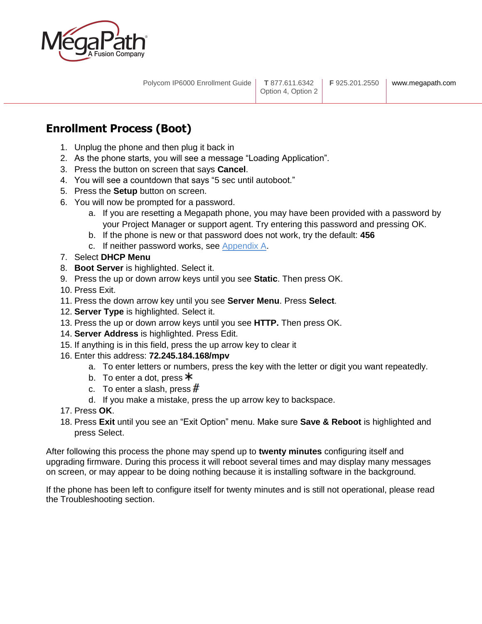

# <span id="page-5-0"></span>**Enrollment Process (Boot)**

- 1. Unplug the phone and then plug it back in
- 2. As the phone starts, you will see a message "Loading Application".
- 3. Press the button on screen that says **Cancel**.
- 4. You will see a countdown that says "5 sec until autoboot."
- 5. Press the **Setup** button on screen.
- 6. You will now be prompted for a password.
	- a. If you are resetting a Megapath phone, you may have been provided with a password by your Project Manager or support agent. Try entering this password and pressing OK.
	- b. If the phone is new or that password does not work, try the default: **456**
	- c. If neither password works, see [Appendix A.](#page-7-0)
- 7. Select **DHCP Menu**
- 8. **Boot Server** is highlighted. Select it.
- 9. Press the up or down arrow keys until you see **Static**. Then press OK.
- 10. Press Exit.
- 11. Press the down arrow key until you see **Server Menu**. Press **Select**.
- 12. **Server Type** is highlighted. Select it.
- 13. Press the up or down arrow keys until you see **HTTP.** Then press OK.
- 14. **Server Address** is highlighted. Press Edit.
- 15. If anything is in this field, press the up arrow key to clear it
- 16. Enter this address: **72.245.184.168/mpv**
	- a. To enter letters or numbers, press the key with the letter or digit you want repeatedly.
	- b. To enter a dot, press  $*$
	- c. To enter a slash, press  $#$
	- d. If you make a mistake, press the up arrow key to backspace.
- 17. Press **OK**.
- 18. Press **Exit** until you see an "Exit Option" menu. Make sure **Save & Reboot** is highlighted and press Select.

After following this process the phone may spend up to **twenty minutes** configuring itself and upgrading firmware. During this process it will reboot several times and may display many messages on screen, or may appear to be doing nothing because it is installing software in the background.

If the phone has been left to configure itself for twenty minutes and is still not operational, please read the Troubleshooting section.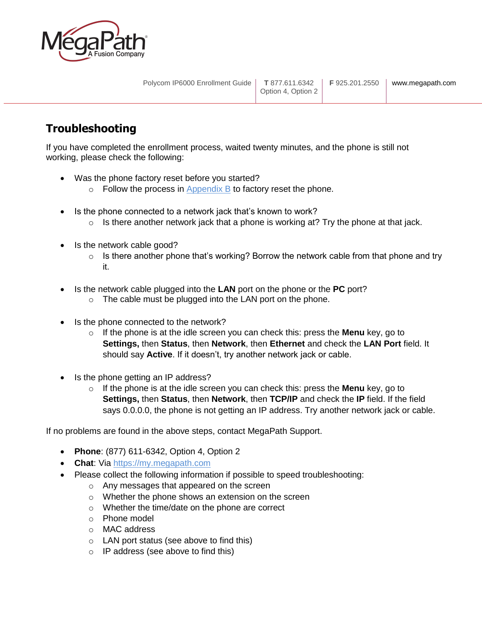

# <span id="page-6-0"></span>**Troubleshooting**

If you have completed the enrollment process, waited twenty minutes, and the phone is still not working, please check the following:

- Was the phone factory reset before you started?
	- $\circ$  Follow the process in [Appendix B](#page-8-0) to factory reset the phone.
- Is the phone connected to a network jack that's known to work?
	- $\circ$  Is there another network jack that a phone is working at? Try the phone at that jack.
- Is the network cable good?
	- $\circ$  Is there another phone that's working? Borrow the network cable from that phone and try it.
- Is the network cable plugged into the **LAN** port on the phone or the **PC** port?
	- o The cable must be plugged into the LAN port on the phone.
- Is the phone connected to the network?
	- o If the phone is at the idle screen you can check this: press the **Menu** key, go to **Settings,** then **Status**, then **Network**, then **Ethernet** and check the **LAN Port** field. It should say **Active**. If it doesn't, try another network jack or cable.
- Is the phone getting an IP address?
	- o If the phone is at the idle screen you can check this: press the **Menu** key, go to **Settings,** then **Status**, then **Network**, then **TCP/IP** and check the **IP** field. If the field says 0.0.0.0, the phone is not getting an IP address. Try another network jack or cable.

If no problems are found in the above steps, contact MegaPath Support.

- **Phone**: (877) 611-6342, Option 4, Option 2
- **Chat**: Via [https://my.megapath.com](https://my.megapath.com/)
- Please collect the following information if possible to speed troubleshooting:
	- o Any messages that appeared on the screen
	- o Whether the phone shows an extension on the screen
	- o Whether the time/date on the phone are correct
	- o Phone model
	- o MAC address
	- o LAN port status (see above to find this)
	- $\circ$  IP address (see above to find this)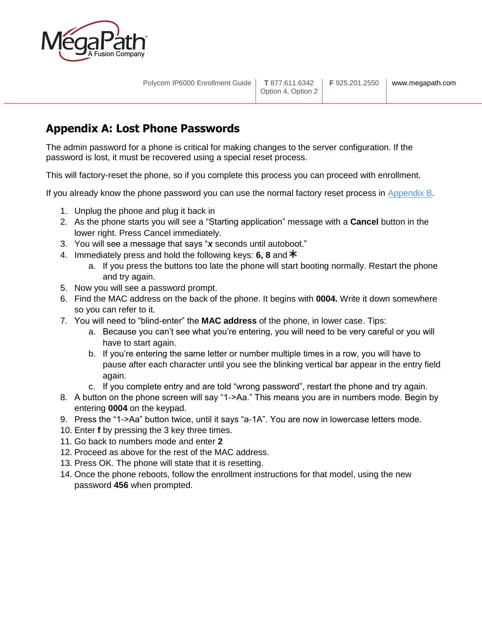

# <span id="page-7-0"></span>**Appendix A: Lost Phone Passwords**

The admin password for a phone is critical for making changes to the server configuration. If the password is lost, it must be recovered using a special reset process.

This will factory-reset the phone, so if you complete this process you can proceed with enrollment.

If you already know the phone password you can use the normal factory reset process in [Appendix B.](#page-8-0)

- 1. Unplug the phone and plug it back in
- 2. As the phone starts you will see a "Starting application" message with a **Cancel** button in the lower right. Press Cancel immediately.
- 3. You will see a message that says "*x* seconds until autoboot."
- 4. Immediately press and hold the following keys: **6, 8** and
	- a. If you press the buttons too late the phone will start booting normally. Restart the phone and try again.
- 5. Now you will see a password prompt.
- 6. Find the MAC address on the back of the phone. It begins with **0004.** Write it down somewhere so you can refer to it.
- 7. You will need to "blind-enter" the **MAC address** of the phone, in lower case. Tips:
	- a. Because you can't see what you're entering, you will need to be very careful or you will have to start again.
	- b. If you're entering the same letter or number multiple times in a row, you will have to pause after each character until you see the blinking vertical bar appear in the entry field again.
	- c. If you complete entry and are told "wrong password", restart the phone and try again.
- 8. A button on the phone screen will say "1->Aa." This means you are in numbers mode. Begin by entering **0004** on the keypad.
- 9. Press the "1->Aa" button twice, until it says "a-1A". You are now in lowercase letters mode.
- 10. Enter **f** by pressing the 3 key three times.
- 11. Go back to numbers mode and enter **2**
- 12. Proceed as above for the rest of the MAC address.
- 13. Press OK. The phone will state that it is resetting.
- 14. Once the phone reboots, follow the enrollment instructions for that model, using the new password **456** when prompted.